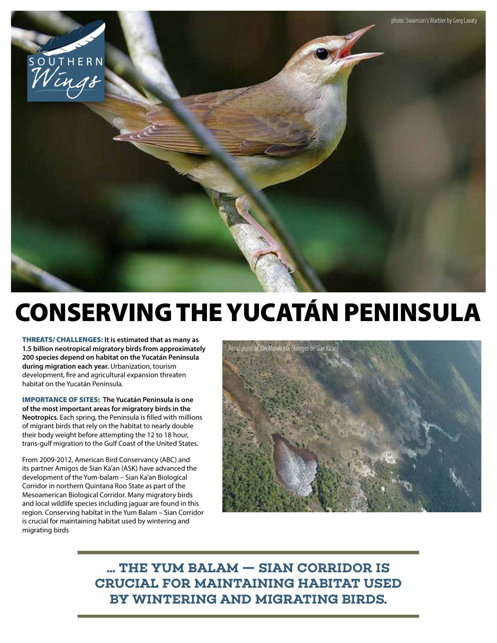

## CONSERVING THE YUCATÁN PENINSULA

THREATS/ CHALLENGES: **It is estimated that as many as 1.5 billion neotropical migratory birds from approximately 200 species depend on habitat on the Yucatán Peninsula during migration each year.** Urbanization, tourism development, fire and agricultural expansion threaten habitat on the Yucatán Peninsula.

IMPORTANCE OF SITES: **The Yucatán Peninsula is one of the most important areas for migratory birds in the Neotropics.** Each spring, the Peninsula is filled with millions of migrant birds that rely on the habitat to nearly double their body weight before attempting the 12 to 18 hour, trans-gulf migration to the Gulf Coast of the United States.

From 2009-2012, American Bird Conservancy (ABC) and its partner Amigos de Sian Ka'an (ASK) have advanced the development of the Yum-balam – Sian Ka'an Biological Corridor in northern Quintana Roo State as part of the Mesoamerican Biological Corridor. Many migratory birds and local wildlife species including jaguar are found in this region. Conserving habitat in the Yum Balam – Sian Corridor is crucial for maintaining habitat used by wintering and migrating birds



**... THE YUM BALAM — SIAN CORRIDOR IS CRUCIAL FOR MAINTAINING HABITAT USED BY WINTERING AND MIGRATING BIRDS.**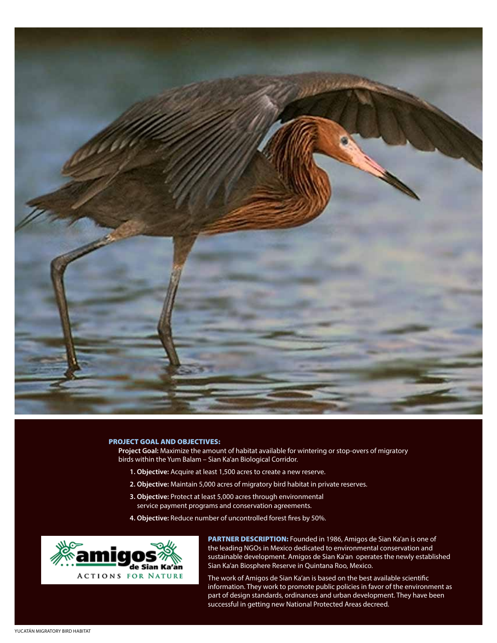

## PROJECT GOAL AND OBJECTIVES:

**Project Goal:** Maximize the amount of habitat available for wintering or stop-overs of migratory birds within the Yum Balam – Sian Ka'an Biological Corridor.

- **1. Objective:** Acquire at least 1,500 acres to create a new reserve.
- **2. Objective:** Maintain 5,000 acres of migratory bird habitat in private reserves.
- **3. Objective:** Protect at least 5,000 acres through environmental service payment programs and conservation agreements.
- **4. Objective:** Reduce number of uncontrolled forest fires by 50%.



PARTNER DESCRIPTION: Founded in 1986, Amigos de Sian Ka'an is one of the leading NGOs in Mexico dedicated to environmental conservation and sustainable development. Amigos de Sian Ka'an operates the newly established Sian Ka'an Biosphere Reserve in Quintana Roo, Mexico.

The work of Amigos de Sian Ka'an is based on the best available scientific information. They work to promote public policies in favor of the environment as part of design standards, ordinances and urban development. They have been successful in getting new National Protected Areas decreed.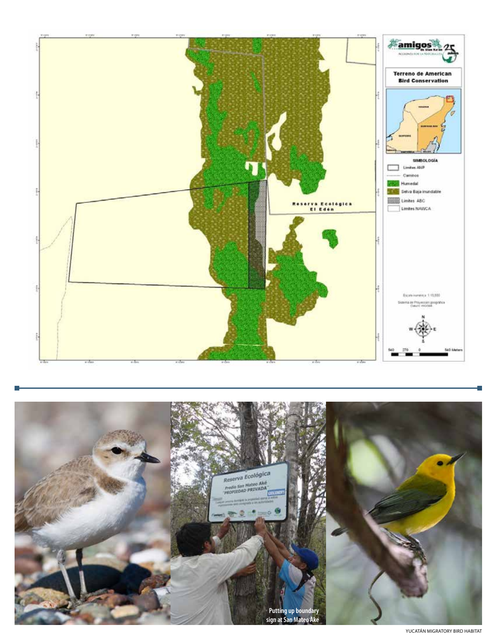



YUCATÁN MIGRATORY BIRD HABITAT